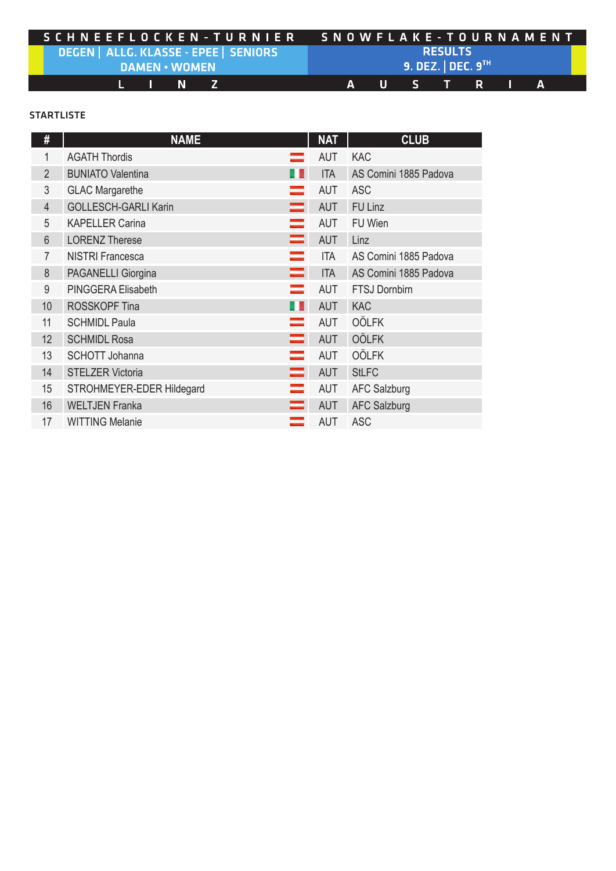|                                                  | SCHNEEFLOCKEN-TURNIER SNOWFLAKE-TOURNAMENT |  |  |  |  |  |  |  |
|--------------------------------------------------|--------------------------------------------|--|--|--|--|--|--|--|
| <u>  DEGEN   ALLG. KLASSE - EPEE   SENIORS  </u> | <b>RESULTS</b>                             |  |  |  |  |  |  |  |
| <b>DAMEN • WOMEN</b>                             | 9. DEZ. DEC. $9^{\text{th}}$               |  |  |  |  |  |  |  |
| L N Z                                            | IA USTRTAI                                 |  |  |  |  |  |  |  |

## STARTLISTE

| #               | <b>NAME</b>                  | <b>NAT</b> | <b>CLUB</b>           |
|-----------------|------------------------------|------------|-----------------------|
| 1               | <b>AGATH Thordis</b>         | <b>AUT</b> | <b>KAC</b>            |
| $\overline{2}$  | <b>BUNIATO Valentina</b>     | <b>ITA</b> | AS Comini 1885 Padova |
| 3               | <b>GLAC Margarethe</b>       | <b>AUT</b> | <b>ASC</b>            |
| $\overline{4}$  | <b>GOLLESCH-GARLI Karin</b>  | <b>AUT</b> | <b>FU Linz</b>        |
| 5               | <b>KAPELLER Carina</b>       | <b>AUT</b> | FU Wien               |
| $6\phantom{.}6$ | =<br><b>LORENZ Therese</b>   | <b>AUT</b> | Linz                  |
| $\overline{7}$  | <b>NISTRI Francesca</b>      | <b>ITA</b> | AS Comini 1885 Padova |
| 8               | PAGANELLI Giorgina<br>=      | <b>ITA</b> | AS Comini 1885 Padova |
| 9               | PINGGERA Elisabeth           | <b>AUT</b> | <b>FTSJ Dornbirn</b>  |
| 10              | <b>ROSSKOPF Tina</b>         | <b>AUT</b> | <b>KAC</b>            |
| 11              | <b>SCHMIDL Paula</b>         | <b>AUT</b> | <b>OÖLFK</b>          |
| 12              | =<br><b>SCHMIDL Rosa</b>     | <b>AUT</b> | <b>OÖLFK</b>          |
| 13              | <b>SCHOTT Johanna</b>        | <b>AUT</b> | <b>OÖLFK</b>          |
| 14              | <b>STELZER Victoria</b><br>= | <b>AUT</b> | <b>StLFC</b>          |
| 15              | STROHMEYER-EDER Hildegard    | <b>AUT</b> | <b>AFC Salzburg</b>   |
| 16              | <b>WELTJEN Franka</b>        | <b>AUT</b> | <b>AFC Salzburg</b>   |
| 17              | <b>WITTING Melanie</b>       | <b>AUT</b> | <b>ASC</b>            |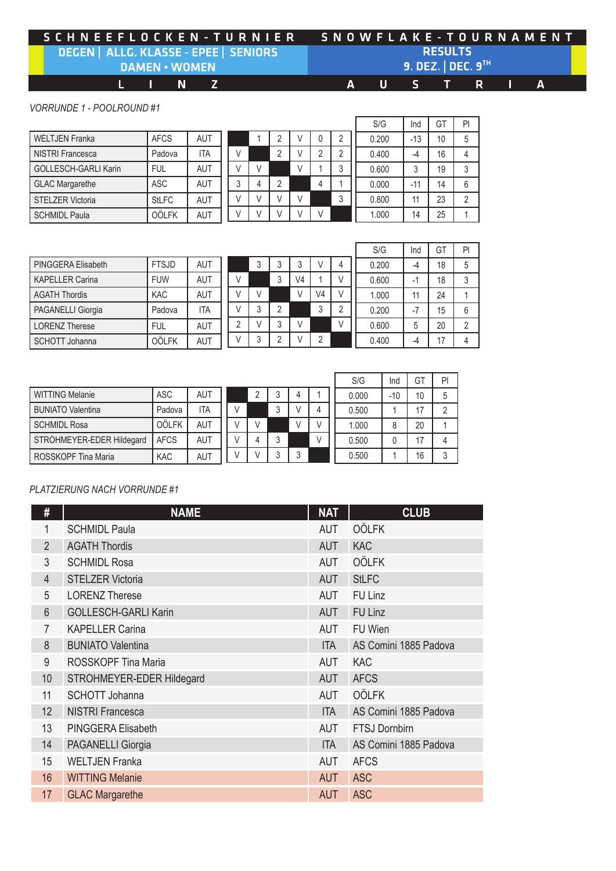## SCHNEEFLOCKEN-TURNIER SNOWFLAKE-TOURNAMENT DEGEN | ALLG. KLASSE - EPEE | SENIORS **RESULTS** 9. DEZ. | DEC. 9TH **DAMEN . WOMEN**  $\mathbf{I}$  $\blacksquare$  $\mathbb{Z}$  $S^{\pm}$ L.  $\overline{A}$  $\overline{U}$  $\top$ R  $\overline{A}$ П

*VORRUNDE 1 - POOLROUND #1*

| <b>WELTJEN Franka</b>       | <b>AFCS</b>  | <b>AUT</b> |
|-----------------------------|--------------|------------|
| <b>NISTRI Francesca</b>     | Padova       | <b>ITA</b> |
| <b>GOLLESCH-GARLI Karin</b> | FUL          | AUT        |
| <b>GLAC Margarethe</b>      | <b>ASC</b>   | AUT        |
| <b>STELZER Victoria</b>     | <b>StLFC</b> | <b>AUT</b> |
| <b>SCHMIDL Paula</b>        | <b>OÖLFK</b> | <b>AUT</b> |

|  |              |                | $\overline{2}$ |            | 0              | $\overline{c}$ |  |
|--|--------------|----------------|----------------|------------|----------------|----------------|--|
|  | $\mathbf{L}$ |                | $\overline{2}$ |            | $\overline{2}$ | $\overline{c}$ |  |
|  |              | $\mathbf{L}$   |                | $\sqrt{ }$ |                | 3              |  |
|  | 3            |                | $\overline{2}$ |            |                |                |  |
|  |              |                |                |            |                | 3              |  |
|  |              | $\overline{1}$ |                |            | $\overline{1}$ |                |  |

| S/G   | Ind   | GT | PI             |
|-------|-------|----|----------------|
| 0.200 | $-13$ | 10 | 5              |
| 0.400 | -4    | 16 | 4              |
| 0.600 | 3     | 19 | 3              |
| 0.000 | $-11$ | 14 | 6              |
| 0.800 | 11    | 23 | $\overline{2}$ |
| 1.000 | 14    | 25 |                |
|       |       |    |                |

 $0.500$  0 17 4  $0.500$  | 1 | 16 | 3

| PINGGERA Elisabeth     | <b>FTSJD</b> | <b>AUT</b> |
|------------------------|--------------|------------|
| <b>KAPELLER Carina</b> | <b>FUW</b>   | <b>AUT</b> |
| <b>AGATH Thordis</b>   | <b>KAC</b>   | <b>AUT</b> |
| PAGANELLI Giorgia      | Padova       | <b>ITA</b> |
| <b>LORENZ Therese</b>  | <b>FUL</b>   | <b>AUT</b> |
| <b>SCHOTT Johanna</b>  | <b>OÖLFK</b> | AUT        |

WITTING Melanie | ASC | AUT

|   |   |                |    |                |   | S/G   | Ind  | GT | PI             |
|---|---|----------------|----|----------------|---|-------|------|----|----------------|
|   | 3 | 3              | 3  | ν              | 4 | 0.200 | -4   | 18 | 5              |
| V |   | 3              | V4 |                |   | 0.600 | -1   | 18 | 3              |
| V | V |                | ٧  | V4             | ۱ | 1.000 | 11   | 24 |                |
| V | 3 | 2              |    | 3              | 2 | 0.200 | $-7$ | 15 | 6              |
| 2 | V | 3              | V  |                | V | 0.600 | 5    | 20 | $\overline{2}$ |
|   | 3 | $\overline{2}$ | ν  | $\overline{2}$ |   | 0.400 | -4   | 17 | 4              |

|  | 2             | V     | 3 | V             |                | ٧ | 0.600 |       | 5  | 20 | $\overline{2}$ |  |  |  |  |    |                |
|--|---------------|-------|---|---------------|----------------|---|-------|-------|----|----|----------------|--|--|--|--|----|----------------|
|  | V             | 3     | 2 | V             | $\overline{2}$ |   |       | 0.400 |    |    |                |  |  |  |  | 17 | $\overline{4}$ |
|  |               |       |   |               |                |   |       |       |    |    |                |  |  |  |  |    |                |
|  |               |       |   |               |                |   | S/G   | Ind   | GT | PI |                |  |  |  |  |    |                |
|  |               | 2     | 3 | 4             |                |   | 0.000 | $-10$ | 10 | 5  |                |  |  |  |  |    |                |
|  | V             |       | 3 | V             | 4              |   | 0.500 |       | 17 | 2  |                |  |  |  |  |    |                |
|  | $\mathcal{L}$ | $\lq$ |   | $\mathcal{L}$ | $\mathbf{L}$   |   | 1.000 | 8     | 20 |    |                |  |  |  |  |    |                |

| <b>BUNIATO Valentina</b>  | Padova      | ITA        |  |  | 4 |
|---------------------------|-------------|------------|--|--|---|
| <b>SCHMIDL Rosa</b>       | OÖLFK       | AUT        |  |  |   |
| STROHMEYER-EDER Hildegard | <b>AFCS</b> | <b>AUT</b> |  |  |   |
| ROSSKOPF Tina Maria       | <b>KAC</b>  | <b>AUT</b> |  |  |   |
|                           |             |            |  |  |   |

## *PLATZIERUNG NACH VORRUNDE #1*

| #               | <b>NAME</b>                 | <b>NAT</b> | <b>CLUB</b>           |
|-----------------|-----------------------------|------------|-----------------------|
| 1               | <b>SCHMIDL Paula</b>        | <b>AUT</b> | <b>OÖLFK</b>          |
| $\overline{2}$  | <b>AGATH Thordis</b>        | <b>AUT</b> | <b>KAC</b>            |
| 3               | <b>SCHMIDL Rosa</b>         | <b>AUT</b> | <b>OÖLFK</b>          |
| $\overline{4}$  | <b>STELZER Victoria</b>     | <b>AUT</b> | <b>StLFC</b>          |
| 5               | <b>LORENZ Therese</b>       | <b>AUT</b> | FU Linz               |
| $6\phantom{.}6$ | <b>GOLLESCH-GARLI Karin</b> | <b>AUT</b> | FU Linz               |
| $\overline{7}$  | <b>KAPELLER Carina</b>      | <b>AUT</b> | FU Wien               |
| 8               | <b>BUNIATO Valentina</b>    | <b>ITA</b> | AS Comini 1885 Padova |
| 9               | ROSSKOPF Tina Maria         | <b>AUT</b> | <b>KAC</b>            |
| 10              | STROHMEYER-EDER Hildegard   | <b>AUT</b> | <b>AFCS</b>           |
| 11              | <b>SCHOTT Johanna</b>       | <b>AUT</b> | <b>OÖLFK</b>          |
| 12              | <b>NISTRI Francesca</b>     | <b>ITA</b> | AS Comini 1885 Padova |
| 13              | PINGGERA Elisabeth          | <b>AUT</b> | <b>FTSJ Dornbirn</b>  |
| 14              | <b>PAGANELLI Giorgia</b>    | <b>ITA</b> | AS Comini 1885 Padova |
| 15              | <b>WELTJEN Franka</b>       | <b>AUT</b> | <b>AFCS</b>           |
| 16              | <b>WITTING Melanie</b>      | <b>AUT</b> | <b>ASC</b>            |
| 17              | <b>GLAC Margarethe</b>      | <b>AUT</b> | <b>ASC</b>            |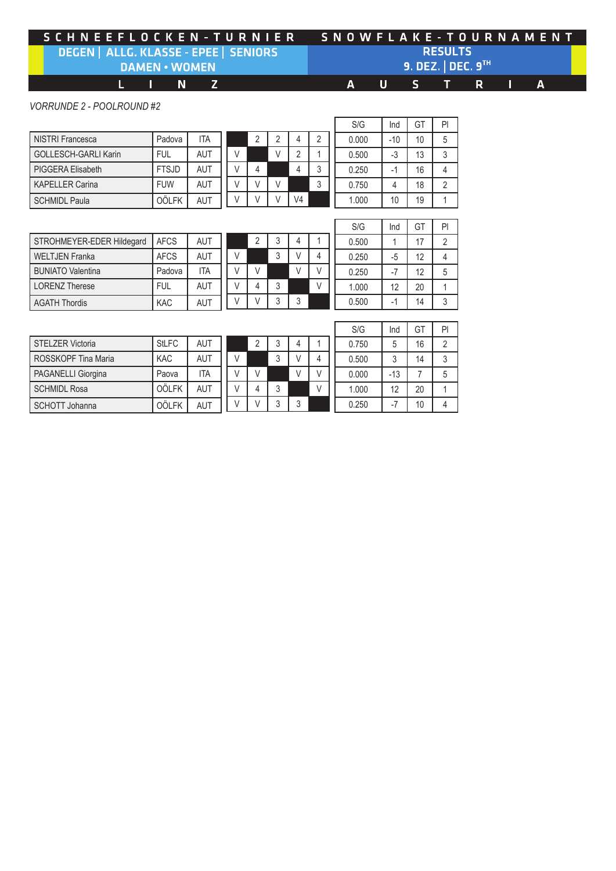|                                                    | SCHNEEFLOCKEN-TURNIER SNOWFLAKE-TOURNAMENT |
|----------------------------------------------------|--------------------------------------------|
| DEGEN   ALLG. KLASSE - EPEE   SENIORS <sup> </sup> | <b>RESULTS</b>                             |
| <b>DAMEN • WOMEN</b>                               | 9. DEZ. DEC. $9^{\text{th}}$               |
| IL IN ZI                                           | AUSTRIA                                    |

*VORRUNDE 2 - POOLROUND #2*

|                      |              |            |   |   |                |   | S/G   | Ind   | GT | P              |
|----------------------|--------------|------------|---|---|----------------|---|-------|-------|----|----------------|
| NISTRI Francesca     | Padova       | ITA        | 2 | ົ | 4              |   | 0.000 | $-10$ | 10 | 5              |
| GOLLESCH-GARLI Karin | <b>FUL</b>   | <b>AUT</b> |   |   | റ              |   | 0.500 | $-3$  | 13 | 3              |
| PIGGERA Elisabeth    | <b>FTSJD</b> | <b>AUT</b> | 4 |   | 4              | າ | 0.250 | ۰.    | 16 | 4              |
| KAPELLER Carina      | <b>FUW</b>   | <b>AUT</b> | V |   |                | 3 | 0.750 |       | 18 | $\overline{2}$ |
| SCHMIDL Paula        | <b>OÖLFK</b> | AUT        |   |   | V <sub>4</sub> |   | 1.000 | 10    | 19 |                |
|                      |              |            |   |   |                |   |       |       |    |                |

| STROHMEYER-EDER Hildegard | <b>AFCS</b> | AUT        |
|---------------------------|-------------|------------|
| <b>WELTJEN Franka</b>     | <b>AFCS</b> | <b>AUT</b> |
| <b>BUNIATO Valentina</b>  | Padova      | <b>ITA</b> |
| <b>LORENZ Therese</b>     | <b>FUL</b>  | <b>AUT</b> |
| <b>AGATH Thordis</b>      | <b>KAC</b>  | AUT        |

|  |                | $\overline{2}$ | 3              |               |                |
|--|----------------|----------------|----------------|---------------|----------------|
|  | $\overline{'}$ |                | 3              | $\mathcal{U}$ | 4              |
|  |                | $\overline{1}$ |                | V             | $\overline{V}$ |
|  |                |                | $\mathfrak{Z}$ |               | $\overline{ }$ |
|  |                |                | 3              | 3             |                |

r

| S/G   | Ind  | GT | PI |
|-------|------|----|----|
| 0.500 |      | 17 | 2  |
| 0.250 | $-5$ | 12 |    |
| 0.250 | -7   | 12 | 5  |
| 1.000 | 12   | 20 |    |
| 0.500 |      | 14 | 3  |

|                         |              |            |  |   |        |   |  | S/G   | Ind    | GT | P              |
|-------------------------|--------------|------------|--|---|--------|---|--|-------|--------|----|----------------|
| <b>STELZER Victoria</b> | <b>StLFC</b> | AUT        |  |   | ີ      | 4 |  | 0.750 |        | 16 | $\overline{2}$ |
| ROSSKOPF Tina Maria     | <b>KAC</b>   | <b>AUT</b> |  |   | ◠<br>J | V |  | 0.500 | $\sim$ | 14 | 3              |
| PAGANELLI Giorgina      | Paova        | ITA        |  |   |        |   |  | 0.000 | $-13$  |    | 5              |
| <b>SCHMIDL Rosa</b>     | <b>OÖLFK</b> | AUT        |  | 4 | ◠<br>J |   |  | 1.000 | 12     | 20 |                |
| SCHOTT Johanna          | <b>OÖLFK</b> | <b>AUT</b> |  |   | $\sim$ | ◠ |  | 0.250 | - 1    | 10 | 4              |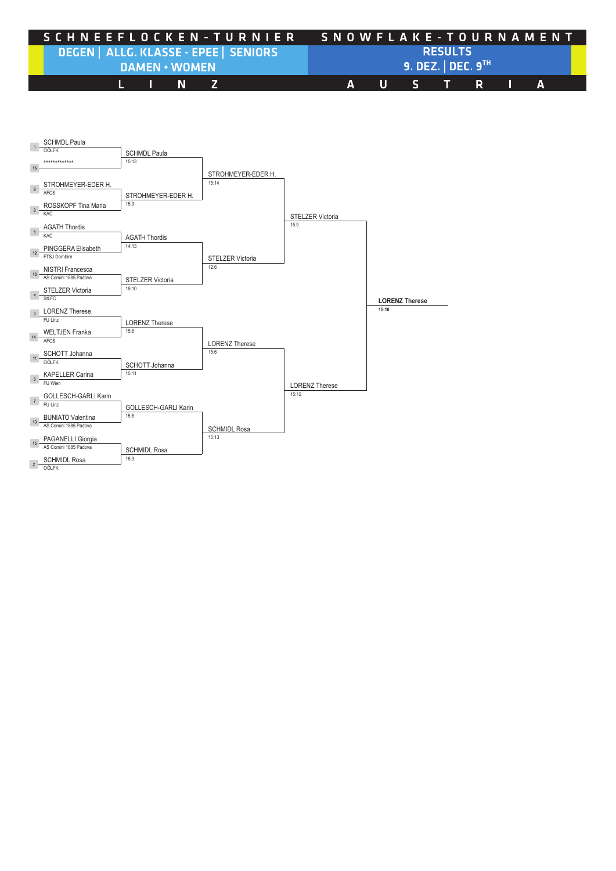| SCHNEEFLOCKEN-TURNIER SNOWFLAKE-TOURNAMENT         |                                  |  |  |  |  |  |  |  |  |  |
|----------------------------------------------------|----------------------------------|--|--|--|--|--|--|--|--|--|
| DEGEN   ALLG. KLASSE - EPEE   SENIORS <sup> </sup> | <b>RESULTS</b>                   |  |  |  |  |  |  |  |  |  |
| <b>DAMEN • WOMEN</b>                               | $9.$ DEZ.   DEC. $9^{\text{th}}$ |  |  |  |  |  |  |  |  |  |
| L IN Z                                             | AUSTRIA                          |  |  |  |  |  |  |  |  |  |

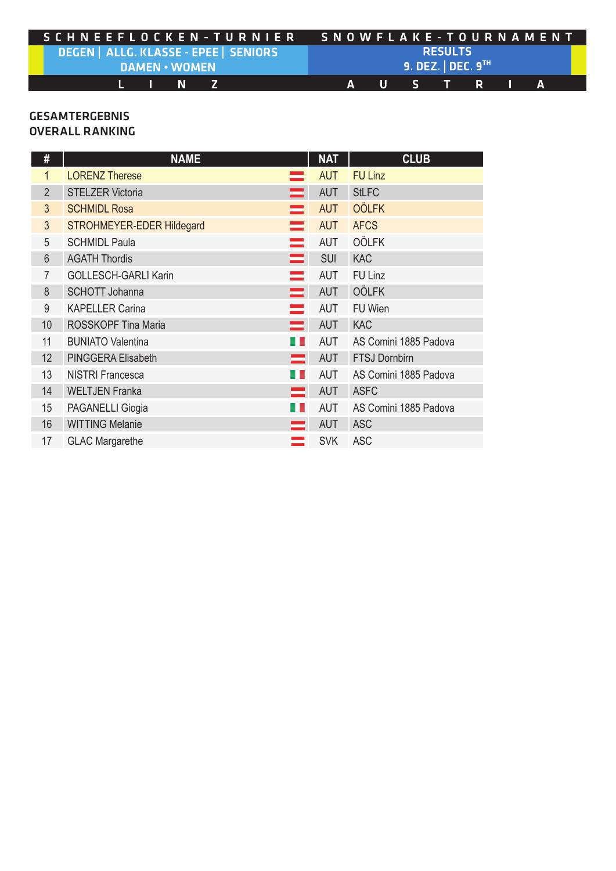| SCHNEEFLOCKEN-TURNIER                              |  |        |  |                              |  |                | SNOWFLAKE - TOURNAMENT |           |  |  |  |  |  |  |  |  |
|----------------------------------------------------|--|--------|--|------------------------------|--|----------------|------------------------|-----------|--|--|--|--|--|--|--|--|
| DEGEN   ALLG. KLASSE - EPEE   SENIORS <sup> </sup> |  |        |  |                              |  | <b>RESULTS</b> |                        |           |  |  |  |  |  |  |  |  |
| <b>DAMEN • WOMEN</b>                               |  |        |  | 9. DEZ. DEC. $9^{\text{TH}}$ |  |                |                        |           |  |  |  |  |  |  |  |  |
|                                                    |  | L IN Z |  |                              |  |                |                        | IAUSTRTAI |  |  |  |  |  |  |  |  |

## **GESAMTERGEBNIS** OVERALL RANKING

| #               | <b>NAME</b>                 |          | <b>NAT</b> | <b>CLUB</b>           |
|-----------------|-----------------------------|----------|------------|-----------------------|
| $\mathbf{1}$    | <b>LORENZ Therese</b>       |          | <b>AUT</b> | <b>FU Linz</b>        |
| $\overline{2}$  | <b>STELZER Victoria</b>     |          | <b>AUT</b> | <b>StLFC</b>          |
| 3               | <b>SCHMIDL Rosa</b>         |          | <b>AUT</b> | <b>OÖLFK</b>          |
| 3               | STROHMEYER-EDER Hildegard   |          | <b>AUT</b> | <b>AFCS</b>           |
| 5               | <b>SCHMIDL Paula</b>        |          | <b>AUT</b> | <b>OÖLFK</b>          |
| 6               | <b>AGATH Thordis</b>        | =        | <b>SUI</b> | <b>KAC</b>            |
| 7               | <b>GOLLESCH-GARLI Karin</b> |          | <b>AUT</b> | FU Linz               |
| 8               | <b>SCHOTT Johanna</b>       | =        | <b>AUT</b> | <b>OÖLFK</b>          |
| 9               | <b>KAPELLER Carina</b>      | $\equiv$ | <b>AUT</b> | FU Wien               |
| 10 <sup>°</sup> | <b>ROSSKOPF Tina Maria</b>  | $\equiv$ | <b>AUT</b> | <b>KAC</b>            |
| 11              | <b>BUNIATO Valentina</b>    |          | <b>AUT</b> | AS Comini 1885 Padova |
| 12              | PINGGERA Elisabeth          | =        | <b>AUT</b> | <b>FTSJ Dornbirn</b>  |
| 13              | <b>NISTRI Francesca</b>     |          | <b>AUT</b> | AS Comini 1885 Padova |
| 14              | <b>WELTJEN Franka</b>       | =        | <b>AUT</b> | <b>ASFC</b>           |
| 15              | <b>PAGANELLI Giogia</b>     |          | <b>AUT</b> | AS Comini 1885 Padova |
| 16              | <b>WITTING Melanie</b>      | =        | <b>AUT</b> | <b>ASC</b>            |
| 17              | <b>GLAC Margarethe</b>      |          | <b>SVK</b> | <b>ASC</b>            |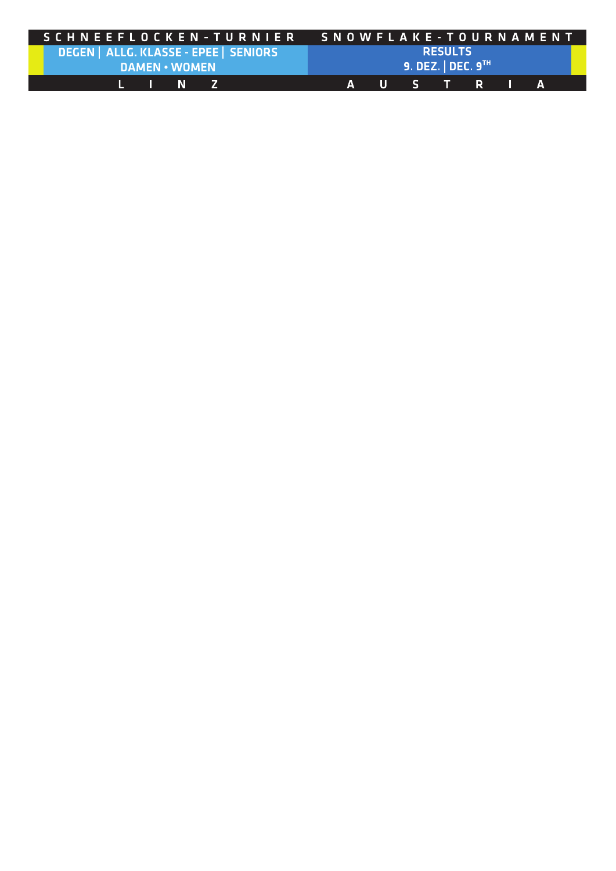| 'S C H N E E F L O C K E N - T U R N I E R G N O W F L A K E - T O U R N A M E N T |  |        |  |  |  |                |  |                              |  |  |  |  |  |  |  |
|------------------------------------------------------------------------------------|--|--------|--|--|--|----------------|--|------------------------------|--|--|--|--|--|--|--|
| DEGEN   ALLG. KLASSE - EPEE   SENIORS <sup> </sup>                                 |  |        |  |  |  | <b>RESULTS</b> |  |                              |  |  |  |  |  |  |  |
| <b>DAMEN • WOMEN</b>                                                               |  |        |  |  |  |                |  | 9. DEZ. DEC. $9^{\text{th}}$ |  |  |  |  |  |  |  |
|                                                                                    |  | L IN Z |  |  |  |                |  | 'AUSTRIA                     |  |  |  |  |  |  |  |